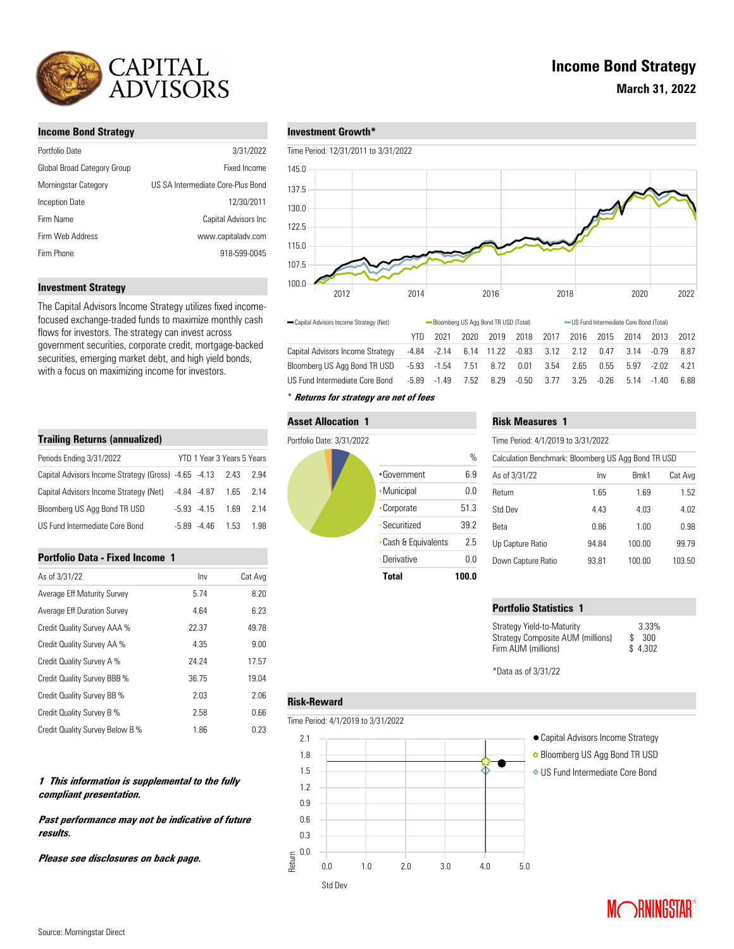

# **Income Bond Strategy**

| Portfolio Date              | 3/31/2022                         |
|-----------------------------|-----------------------------------|
| Global Broad Category Group | Fixed Income                      |
| Morningstar Category        | US SA Intermediate Core-Plus Bond |
| Inception Date              | 12/30/2011                        |
| Firm Name                   | Capital Advisors Inc              |
| Firm Web Address            | www.capitaladv.com                |
| Firm Phone                  | 918-599-0045                      |
|                             |                                   |

## **Investment Strategy**

The Capital Advisors Income Strategy utilizes fixed incomefocused exchange-traded funds to maximize monthly cash flows for investors. The strategy can invest across government securities, corporate credit, mortgage-backed securities, emerging market debt, and high yield bonds, with a focus on maximizing income for investors.

| <b>Trailing Returns (annualized)</b>                      |       |                            |      |      |  |  |  |  |
|-----------------------------------------------------------|-------|----------------------------|------|------|--|--|--|--|
| Periods Ending 3/31/2022                                  |       | YTD 1 Year 3 Years 5 Years |      |      |  |  |  |  |
| Capital Advisors Income Strategy (Gross) -4.65 -4.13 2.43 |       |                            |      | 2.94 |  |  |  |  |
| Capital Advisors Income Strategy (Net)                    |       | $-4.84$ $-4.87$            | 1.65 | 2.14 |  |  |  |  |
| Bloomberg US Agg Bond TR USD                              |       | $-5.93 - 4.15$             | 169  | 2.14 |  |  |  |  |
| US Fund Intermediate Core Bond                            | -5.89 | -4 46                      | 1.53 | 1.98 |  |  |  |  |

## **Portfolio Data - Fixed Income 1**

| As of 3/31/22                   | Inv   | Cat Avg |
|---------------------------------|-------|---------|
| Average Eff Maturity Survey     | 5.74  | 8.20    |
| Average Eff Duration Survey     | 4.64  | 6.23    |
| Credit Quality Survey AAA %     | 22.37 | 49.78   |
| Credit Quality Survey AA %      | 4.35  | 9.00    |
| Credit Quality Survey A %       | 24.24 | 17.57   |
| Credit Quality Survey BBB %     | 36.75 | 19.04   |
| Credit Quality Survey BB %      | 2.03  | 2.06    |
| Credit Quality Survey B %       | 2.58  | 0.66    |
| Credit Quality Survey Below B % | 1.86  | 0.23    |

# **1 This information is supplemental to the fully compliant presentation.**

**Past performance may not be indicative of future results.** 

**Please see disclosures on back page.**

# **Investment Growth\***

Time Period: 12/31/2011 to 3/31/2022



| Capital Advisors Income Strategy (Net) | Bloomberg US Agg Bond TR USD (Total) |        |      |                        | - US Fund Intermediate Core Bond (Total) |                       |      |       |       |             |       |
|----------------------------------------|--------------------------------------|--------|------|------------------------|------------------------------------------|-----------------------|------|-------|-------|-------------|-------|
|                                        | YTD.                                 | 2021   | 2020 | 2019                   | 2018                                     | 2017                  | 2016 | 2015  | 2014  | 2013        | 2012  |
| Capital Advisors Income Strategy       |                                      |        |      | -4.84 -2.14 6.14 11.22 |                                          | $-0.83$ $3.12$ $2.12$ |      | 0.47  | -3.14 | -0.79       | 8.87  |
| Bloombera US Aaa Bond TR USD           |                                      |        |      | -5.93 -1.54 7.51 8.72  | 0.01                                     | 3.54                  | 2.65 | 0.55  | 5.97  | -2.02       | 4 2 1 |
| US Fund Intermediate Core Bond         | -5.89                                | $-149$ | 7.52 | 8.29                   | $-0.50$                                  | 3.77                  | 3.25 | -0.26 |       | $514 - 140$ | 6.88  |
|                                        |                                      |        |      |                        |                                          |                       |      |       |       |             |       |

# \* **Returns for strategy are net of fees**

## **Asset Allocation 1**

#### Portfolio Date: 3/31/2022

**Risk-Reward**

0.0 0.3 0.6 0.9 1.2 1.5 1.8

Return



# **Risk Measures 1**

| Calculation Benchmark: Bloomberg US Agg Bond TR USD |       |        |         |  |  |  |  |
|-----------------------------------------------------|-------|--------|---------|--|--|--|--|
| As of 3/31/22                                       | Inv   | Bmk1   | Cat Avg |  |  |  |  |
| Return                                              | 1.65  | 1.69   | 1.52    |  |  |  |  |
| Std Dev                                             | 4.43  | 4.03   | 4.02    |  |  |  |  |
| Beta                                                | 0.86  | 1.00   | 0.98    |  |  |  |  |
| Up Capture Ratio                                    | 94.84 | 100.00 | 99.79   |  |  |  |  |
| Down Capture Ratio                                  | 93.81 | 100.00 | 103.50  |  |  |  |  |
|                                                     |       |        |         |  |  |  |  |

# **Portfolio Statistics 1**

| Strategy Yield-to-Maturity               | 3.33%   |
|------------------------------------------|---------|
| <b>Strategy Composite AUM (millions)</b> | \$300   |
| Firm AUM (millions)                      | \$4.302 |
|                                          |         |

\*Data as of 3/31/22

# Time Period: 4/1/2019 to 3/31/2022 Std Dev 0.0 1.0 2.0 3.0 4.0 5.0 2.1 Capital Advisors Income Strategy Bloomberg US Agg Bond TR USD US Fund Intermediate Core Bond

# **Income Bond Strategy**



**March 31, 2022**